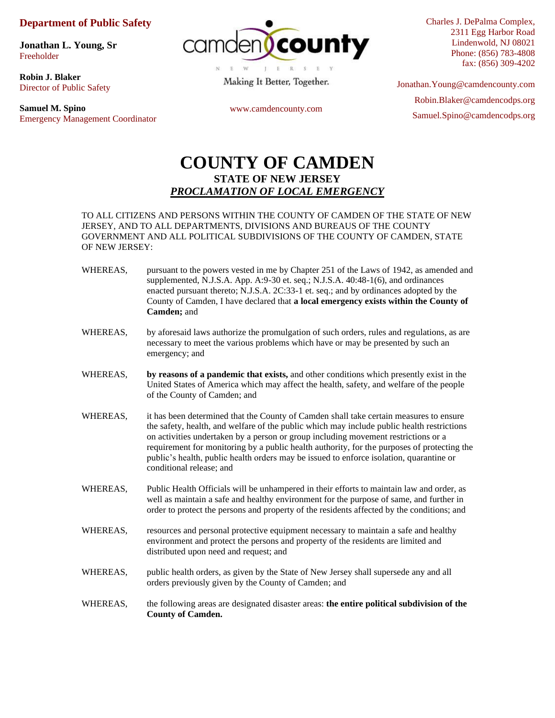## **Department of Public Safety**

**[Jonathan L. Young, Sr](https://www.camdencounty.com/contact/jonathan-l-young/)** Freeholder

**Robin J. Blaker**  Director of Public Safety

**Samuel M. Spino** Emergency Management Coordinator



Making It Better, Together.

Charles J. DePalma Complex, 2311 Egg Harbor Road Lindenwold, NJ 08021 Phone: (856) 783-4808 fax: (856) 309-4202

www.camdencounty.com

Jonathan.Young@camdencounty.com Robin.Blaker@camdencodps.org Samuel.Spino@camdencodps.org

## **COUNTY OF CAMDEN STATE OF NEW JERSEY** *PROCLAMATION OF LOCAL EMERGENCY*

## TO ALL CITIZENS AND PERSONS WITHIN THE COUNTY OF CAMDEN OF THE STATE OF NEW JERSEY, AND TO ALL DEPARTMENTS, DIVISIONS AND BUREAUS OF THE COUNTY GOVERNMENT AND ALL POLITICAL SUBDIVISIONS OF THE COUNTY OF CAMDEN, STATE OF NEW JERSEY:

- WHEREAS, pursuant to the powers vested in me by Chapter 251 of the Laws of 1942, as amended and supplemented, N.J.S.A. App. A:9-30 et. seq.; N.J.S.A. 40:48-1(6), and ordinances enacted pursuant thereto; N.J.S.A. 2C:33-1 et. seq.; and by ordinances adopted by the County of Camden, I have declared that **a local emergency exists within the County of Camden;** and
- WHEREAS, by aforesaid laws authorize the promulgation of such orders, rules and regulations, as are necessary to meet the various problems which have or may be presented by such an emergency; and
- WHEREAS, **by reasons of a pandemic that exists,** and other conditions which presently exist in the United States of America which may affect the health, safety, and welfare of the people of the County of Camden; and
- WHEREAS, it has been determined that the County of Camden shall take certain measures to ensure the safety, health, and welfare of the public which may include public health restrictions on activities undertaken by a person or group including movement restrictions or a requirement for monitoring by a public health authority, for the purposes of protecting the public's health, public health orders may be issued to enforce isolation, quarantine or conditional release; and
- WHEREAS, Public Health Officials will be unhampered in their efforts to maintain law and order, as well as maintain a safe and healthy environment for the purpose of same, and further in order to protect the persons and property of the residents affected by the conditions; and
- WHEREAS, resources and personal protective equipment necessary to maintain a safe and healthy environment and protect the persons and property of the residents are limited and distributed upon need and request; and
- WHEREAS, public health orders, as given by the State of New Jersey shall supersede any and all orders previously given by the County of Camden; and
- WHEREAS, the following areas are designated disaster areas: **the entire political subdivision of the County of Camden.**